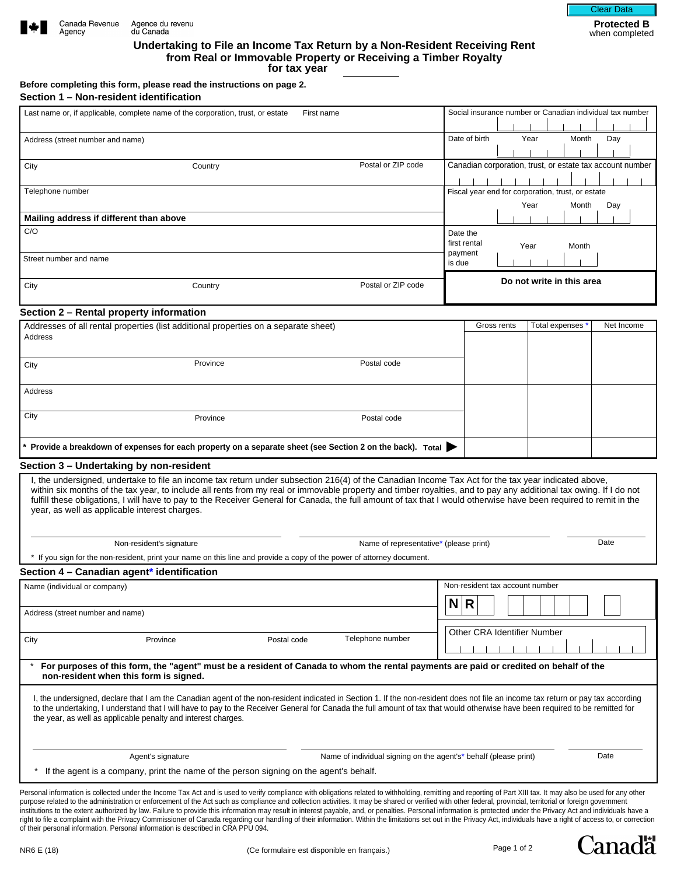



**Undertaking to File an Income Tax Return by a Non-Resident Receiving Rent from Real or Immovable Property or Receiving a Timber Royalty for tax year**

**Before completing this form, please read the instructions on page 2. Section 1 – Non-resident identification**

| Social insurance number or Canadian individual tax number<br>Last name or, if applicable, complete name of the corporation, trust, or estate<br>First name<br>Date of birth<br>Year<br>Month<br>Address (street number and name)<br>Canadian corporation, trust, or estate tax account number<br>Postal or ZIP code<br>City<br>Country<br>Telephone number<br>Fiscal year end for corporation, trust, or estate<br>Year<br>Month<br>Mailing address if different than above<br>C/O<br>Date the<br>first rental<br>Year<br>Month<br>payment<br>Street number and name<br>is due<br>Do not write in this area<br>Postal or ZIP code<br>City<br>Country<br>Section 2 - Rental property information<br>Addresses of all rental properties (list additional properties on a separate sheet)<br>Gross rents<br>Total expenses<br>Address<br>Postal code<br>Province<br>City<br>Address<br>City<br>Province<br>Postal code | Day<br>Day<br>Net Income |
|---------------------------------------------------------------------------------------------------------------------------------------------------------------------------------------------------------------------------------------------------------------------------------------------------------------------------------------------------------------------------------------------------------------------------------------------------------------------------------------------------------------------------------------------------------------------------------------------------------------------------------------------------------------------------------------------------------------------------------------------------------------------------------------------------------------------------------------------------------------------------------------------------------------------|--------------------------|
|                                                                                                                                                                                                                                                                                                                                                                                                                                                                                                                                                                                                                                                                                                                                                                                                                                                                                                                     |                          |
|                                                                                                                                                                                                                                                                                                                                                                                                                                                                                                                                                                                                                                                                                                                                                                                                                                                                                                                     |                          |
|                                                                                                                                                                                                                                                                                                                                                                                                                                                                                                                                                                                                                                                                                                                                                                                                                                                                                                                     |                          |
|                                                                                                                                                                                                                                                                                                                                                                                                                                                                                                                                                                                                                                                                                                                                                                                                                                                                                                                     |                          |
|                                                                                                                                                                                                                                                                                                                                                                                                                                                                                                                                                                                                                                                                                                                                                                                                                                                                                                                     |                          |
|                                                                                                                                                                                                                                                                                                                                                                                                                                                                                                                                                                                                                                                                                                                                                                                                                                                                                                                     |                          |
|                                                                                                                                                                                                                                                                                                                                                                                                                                                                                                                                                                                                                                                                                                                                                                                                                                                                                                                     |                          |
|                                                                                                                                                                                                                                                                                                                                                                                                                                                                                                                                                                                                                                                                                                                                                                                                                                                                                                                     |                          |
|                                                                                                                                                                                                                                                                                                                                                                                                                                                                                                                                                                                                                                                                                                                                                                                                                                                                                                                     |                          |
|                                                                                                                                                                                                                                                                                                                                                                                                                                                                                                                                                                                                                                                                                                                                                                                                                                                                                                                     |                          |
|                                                                                                                                                                                                                                                                                                                                                                                                                                                                                                                                                                                                                                                                                                                                                                                                                                                                                                                     |                          |
|                                                                                                                                                                                                                                                                                                                                                                                                                                                                                                                                                                                                                                                                                                                                                                                                                                                                                                                     |                          |
|                                                                                                                                                                                                                                                                                                                                                                                                                                                                                                                                                                                                                                                                                                                                                                                                                                                                                                                     |                          |
|                                                                                                                                                                                                                                                                                                                                                                                                                                                                                                                                                                                                                                                                                                                                                                                                                                                                                                                     |                          |
|                                                                                                                                                                                                                                                                                                                                                                                                                                                                                                                                                                                                                                                                                                                                                                                                                                                                                                                     |                          |
|                                                                                                                                                                                                                                                                                                                                                                                                                                                                                                                                                                                                                                                                                                                                                                                                                                                                                                                     |                          |
|                                                                                                                                                                                                                                                                                                                                                                                                                                                                                                                                                                                                                                                                                                                                                                                                                                                                                                                     |                          |
| Provide a breakdown of expenses for each property on a separate sheet (see Section 2 on the back). Total                                                                                                                                                                                                                                                                                                                                                                                                                                                                                                                                                                                                                                                                                                                                                                                                            |                          |
| Section 3 - Undertaking by non-resident                                                                                                                                                                                                                                                                                                                                                                                                                                                                                                                                                                                                                                                                                                                                                                                                                                                                             |                          |
| I, the undersigned, undertake to file an income tax return under subsection 216(4) of the Canadian Income Tax Act for the tax year indicated above,<br>within six months of the tax year, to include all rents from my real or immovable property and timber royalties, and to pay any additional tax owing. If I do not<br>fulfill these obligations, I will have to pay to the Receiver General for Canada, the full amount of tax that I would otherwise have been required to remit in the<br>year, as well as applicable interest charges.                                                                                                                                                                                                                                                                                                                                                                     |                          |
| Non-resident's signature<br>Name of representative* (please print)                                                                                                                                                                                                                                                                                                                                                                                                                                                                                                                                                                                                                                                                                                                                                                                                                                                  |                          |
|                                                                                                                                                                                                                                                                                                                                                                                                                                                                                                                                                                                                                                                                                                                                                                                                                                                                                                                     | Date                     |
| * If you sign for the non-resident, print your name on this line and provide a copy of the power of attorney document.                                                                                                                                                                                                                                                                                                                                                                                                                                                                                                                                                                                                                                                                                                                                                                                              |                          |
|                                                                                                                                                                                                                                                                                                                                                                                                                                                                                                                                                                                                                                                                                                                                                                                                                                                                                                                     |                          |
| Section 4 - Canadian agent* identification<br>Non-resident tax account number                                                                                                                                                                                                                                                                                                                                                                                                                                                                                                                                                                                                                                                                                                                                                                                                                                       |                          |
| Name (individual or company)<br>N R                                                                                                                                                                                                                                                                                                                                                                                                                                                                                                                                                                                                                                                                                                                                                                                                                                                                                 |                          |
| Address (street number and name)                                                                                                                                                                                                                                                                                                                                                                                                                                                                                                                                                                                                                                                                                                                                                                                                                                                                                    |                          |
| Other CRA Identifier Number<br>Telephone number<br>Province<br>Postal code<br>City                                                                                                                                                                                                                                                                                                                                                                                                                                                                                                                                                                                                                                                                                                                                                                                                                                  |                          |
| For purposes of this form, the "agent" must be a resident of Canada to whom the rental payments are paid or credited on behalf of the<br>non-resident when this form is signed.                                                                                                                                                                                                                                                                                                                                                                                                                                                                                                                                                                                                                                                                                                                                     |                          |
| I, the undersigned, declare that I am the Canadian agent of the non-resident indicated in Section 1. If the non-resident does not file an income tax return or pay tax according<br>to the undertaking, I understand that I will have to pay to the Receiver General for Canada the full amount of tax that would otherwise have been required to be remitted for<br>the year, as well as applicable penalty and interest charges.                                                                                                                                                                                                                                                                                                                                                                                                                                                                                  |                          |
| Agent's signature<br>Name of individual signing on the agent's* behalf (please print)                                                                                                                                                                                                                                                                                                                                                                                                                                                                                                                                                                                                                                                                                                                                                                                                                               | Date                     |

of their personal information. Personal information is described in CRA PPU 094.

right to file a complaint with the Privacy Commissioner of Canada regarding our handling of their information. Within the limitations set out in the Privacy Act, individuals have a right of access to, or correction

**Canada**